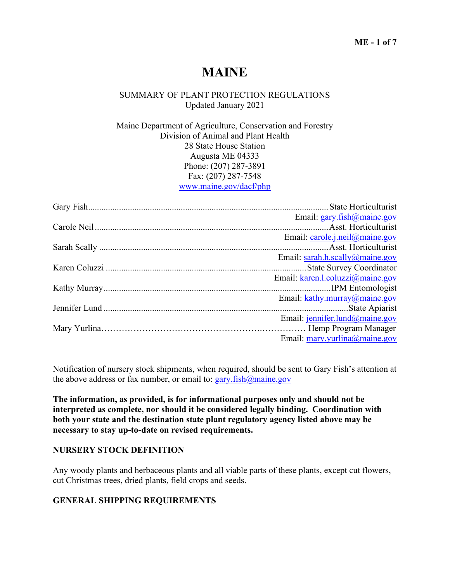## **ME - 1 of 7**

# **MAINE**

# SUMMARY OF PLANT PROTECTION REGULATIONS Updated January 2021

Maine Department of Agriculture, Conservation and Forestry Division of Animal and Plant Health 28 State House Station Augusta ME 04333 Phone: (207) 287-3891 Fax: (207) 287-7548 www.maine.gov/dacf/php

|  | Email: gary.fish@maine.gov             |
|--|----------------------------------------|
|  |                                        |
|  | Email: carole.j.neil@maine.gov         |
|  |                                        |
|  | Email: sarah.h.scally@maine.gov        |
|  |                                        |
|  | Email: karen.l.coluzzi@maine.gov       |
|  |                                        |
|  | Email: kathy.murray@maine.gov          |
|  |                                        |
|  | Email: jennifer.lund@maine.gov         |
|  |                                        |
|  | Email: $\frac{may.}$ yurlina@maine.gov |

Notification of nursery stock shipments, when required, should be sent to Gary Fish's attention at the above address or fax number, or email to:  $\frac{gary.fish@maine.gov}{gary.fish@maine.gov}$ 

**The information, as provided, is for informational purposes only and should not be interpreted as complete, nor should it be considered legally binding. Coordination with both your state and the destination state plant regulatory agency listed above may be necessary to stay up-to-date on revised requirements.**

# **NURSERY STOCK DEFINITION**

Any woody plants and herbaceous plants and all viable parts of these plants, except cut flowers, cut Christmas trees, dried plants, field crops and seeds.

## **GENERAL SHIPPING REQUIREMENTS**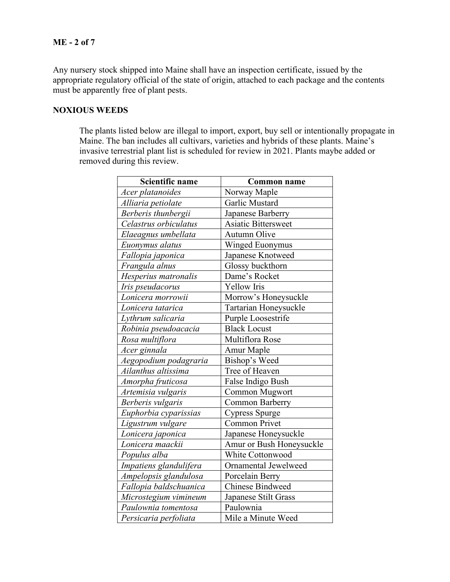# **ME - 2 of 7**

Any nursery stock shipped into Maine shall have an inspection certificate, issued by the appropriate regulatory official of the state of origin, attached to each package and the contents must be apparently free of plant pests.

# **NOXIOUS WEEDS**

The plants listed below are illegal to import, export, buy sell or intentionally propagate in Maine. The ban includes all cultivars, varieties and hybrids of these plants. Maine's invasive terrestrial plant list is scheduled for review in 2021. Plants maybe added or removed during this review.

| Scientific name        | <b>Common name</b>         |
|------------------------|----------------------------|
| Acer platanoides       | Norway Maple               |
| Alliaria petiolate     | Garlic Mustard             |
| Berberis thunbergii    | Japanese Barberry          |
| Celastrus orbiculatus  | <b>Asiatic Bittersweet</b> |
| Elaeagnus umbellata    | Autumn Olive               |
| Euonymus alatus        | Winged Euonymus            |
| Fallopia japonica      | Japanese Knotweed          |
| Frangula alnus         | Glossy buckthorn           |
| Hesperius matronalis   | Dame's Rocket              |
| Iris pseudacorus       | Yellow Iris                |
| Lonicera morrowii      | Morrow's Honeysuckle       |
| Lonicera tatarica      | Tartarian Honeysuckle      |
| Lythrum salicaria      | Purple Loosestrife         |
| Robinia pseudoacacia   | <b>Black Locust</b>        |
| Rosa multiflora        | Multiflora Rose            |
| Acer ginnala           | Amur Maple                 |
| Aegopodium podagraria  | Bishop's Weed              |
| Ailanthus altissima    | Tree of Heaven             |
| Amorpha fruticosa      | False Indigo Bush          |
| Artemisia vulgaris     | Common Mugwort             |
| Berberis vulgaris      | Common Barberry            |
| Euphorbia cyparissias  | <b>Cypress Spurge</b>      |
| Ligustrum vulgare      | <b>Common Privet</b>       |
| Lonicera japonica      | Japanese Honeysuckle       |
| Lonicera maackii       | Amur or Bush Honeysuckle   |
| Populus alba           | <b>White Cottonwood</b>    |
| Impatiens glandulifera | Ornamental Jewelweed       |
| Ampelopsis glandulosa  | Porcelain Berry            |
| Fallopia baldschuanica | <b>Chinese Bindweed</b>    |
| Microstegium vimineum  | Japanese Stilt Grass       |
| Paulownia tomentosa    | Paulownia                  |
| Persicaria perfoliata  | Mile a Minute Weed         |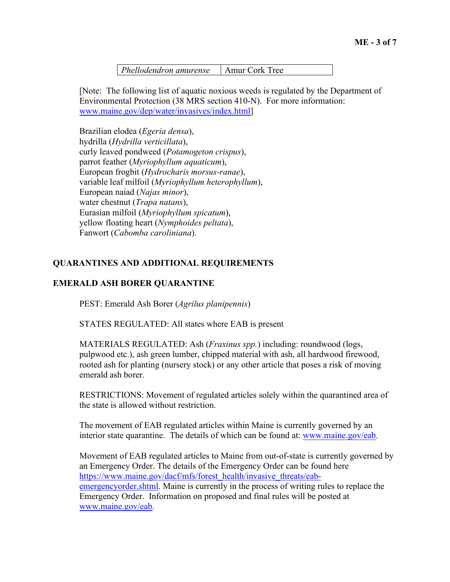*Phellodendron amurense* | Amur Cork Tree

[Note: The following list of aquatic noxious weeds is regulated by the Department of Environmental Protection (38 MRS section 410-N). For more information: www.maine.gov/dep/water/invasives/index.html]

Brazilian elodea (*Egeria densa*), hydrilla (*Hydrilla verticillata*), curly leaved pondweed (*Potamogeton crispus*), parrot feather (*Myriophyllum aquaticum*), European frogbit (*Hydrocharis morsus-ranae*), variable leaf milfoil (*Myriophyllum heterophyllum*), European naiad (*Najas minor*), water chestnut (*Trapa natans*), Eurasian milfoil (*Myriophyllum spicatum*), yellow floating heart (*Nymphoides peltata*), Fanwort (*Cabomba caroliniana*).

# **QUARANTINES AND ADDITIONAL REQUIREMENTS**

# **EMERALD ASH BORER QUARANTINE**

PEST: Emerald Ash Borer (*Agrilus planipennis*)

STATES REGULATED: All states where EAB is present

MATERIALS REGULATED: Ash (*Fraxinus spp.*) including: roundwood (logs, pulpwood etc.), ash green lumber, chipped material with ash, all hardwood firewood, rooted ash for planting (nursery stock) or any other article that poses a risk of moving emerald ash borer.

RESTRICTIONS: Movement of regulated articles solely within the quarantined area of the state is allowed without restriction.

The movement of EAB regulated articles within Maine is currently governed by an interior state quarantine. The details of which can be found at: www.maine.gov/eab.

Movement of EAB regulated articles to Maine from out-of-state is currently governed by an Emergency Order. The details of the Emergency Order can be found here https://www.maine.gov/dacf/mfs/forest\_health/invasive\_threats/eabemergencyorder.shtml. Maine is currently in the process of writing rules to replace the Emergency Order. Information on proposed and final rules will be posted at www.maine.gov/eab.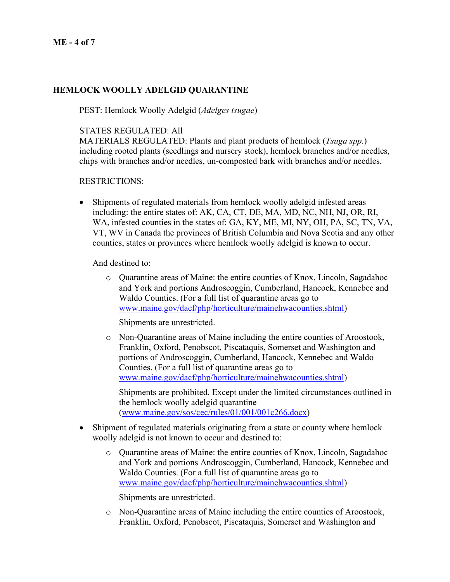# **HEMLOCK WOOLLY ADELGID QUARANTINE**

PEST: Hemlock Woolly Adelgid (*Adelges tsugae*)

## STATES REGULATED: All

MATERIALS REGULATED: Plants and plant products of hemlock (*Tsuga spp.*) including rooted plants (seedlings and nursery stock), hemlock branches and/or needles, chips with branches and/or needles, un-composted bark with branches and/or needles.

#### RESTRICTIONS:

• Shipments of regulated materials from hemlock woolly adelgid infested areas including: the entire states of: AK, CA, CT, DE, MA, MD, NC, NH, NJ, OR, RI, WA, infested counties in the states of: GA, KY, ME, MI, NY, OH, PA, SC, TN, VA, VT, WV in Canada the provinces of British Columbia and Nova Scotia and any other counties, states or provinces where hemlock woolly adelgid is known to occur.

And destined to:

o Quarantine areas of Maine: the entire counties of Knox, Lincoln, Sagadahoc and York and portions Androscoggin, Cumberland, Hancock, Kennebec and Waldo Counties. (For a full list of quarantine areas go to www.maine.gov/dacf/php/horticulture/mainehwacounties.shtml)

Shipments are unrestricted.

o Non-Quarantine areas of Maine including the entire counties of Aroostook, Franklin, Oxford, Penobscot, Piscataquis, Somerset and Washington and portions of Androscoggin, Cumberland, Hancock, Kennebec and Waldo Counties. (For a full list of quarantine areas go to www.maine.gov/dacf/php/horticulture/mainehwacounties.shtml)

Shipments are prohibited. Except under the limited circumstances outlined in the hemlock woolly adelgid quarantine  $(www.mainloop/sos/cec/rules/01/001/001c266.docx)$ 

- Shipment of regulated materials originating from a state or county where hemlock woolly adelgid is not known to occur and destined to:
	- o Quarantine areas of Maine: the entire counties of Knox, Lincoln, Sagadahoc and York and portions Androscoggin, Cumberland, Hancock, Kennebec and Waldo Counties. (For a full list of quarantine areas go to www.maine.gov/dacf/php/horticulture/mainehwacounties.shtml)

Shipments are unrestricted.

o Non-Quarantine areas of Maine including the entire counties of Aroostook, Franklin, Oxford, Penobscot, Piscataquis, Somerset and Washington and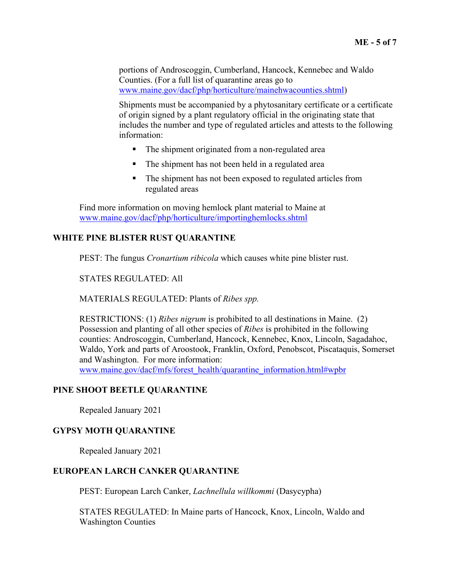portions of Androscoggin, Cumberland, Hancock, Kennebec and Waldo Counties. (For a full list of quarantine areas go to www.maine.gov/dacf/php/horticulture/mainehwacounties.shtml)

Shipments must be accompanied by a phytosanitary certificate or a certificate of origin signed by a plant regulatory official in the originating state that includes the number and type of regulated articles and attests to the following information:

- The shipment originated from a non-regulated area
- The shipment has not been held in a regulated area
- The shipment has not been exposed to regulated articles from regulated areas

Find more information on moving hemlock plant material to Maine at www.maine.gov/dacf/php/horticulture/importinghemlocks.shtml

# **WHITE PINE BLISTER RUST QUARANTINE**

PEST: The fungus *Cronartium ribicola* which causes white pine blister rust.

STATES REGULATED: All

MATERIALS REGULATED: Plants of *Ribes spp.*

RESTRICTIONS: (1) *Ribes nigrum* is prohibited to all destinations in Maine. (2) Possession and planting of all other species of *Ribes* is prohibited in the following counties: Androscoggin, Cumberland, Hancock, Kennebec, Knox, Lincoln, Sagadahoc, Waldo, York and parts of Aroostook, Franklin, Oxford, Penobscot, Piscataquis, Somerset and Washington. For more information:

www.maine.gov/dacf/mfs/forest\_health/quarantine\_information.html#wpbr

# **PINE SHOOT BEETLE QUARANTINE**

Repealed January 2021

# **GYPSY MOTH QUARANTINE**

Repealed January 2021

# **EUROPEAN LARCH CANKER QUARANTINE**

PEST: European Larch Canker, *Lachnellula willkommi* (Dasycypha)

STATES REGULATED: In Maine parts of Hancock, Knox, Lincoln, Waldo and Washington Counties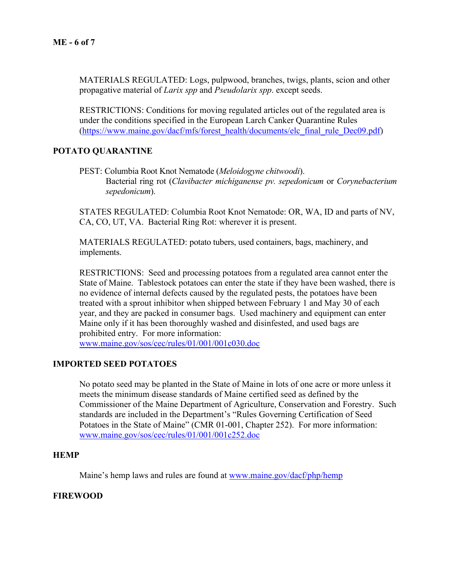MATERIALS REGULATED: Logs, pulpwood, branches, twigs, plants, scion and other propagative material of *Larix spp* and *Pseudolarix spp*. except seeds.

RESTRICTIONS: Conditions for moving regulated articles out of the regulated area is under the conditions specified in the European Larch Canker Quarantine Rules (https://www.maine.gov/dacf/mfs/forest\_health/documents/elc\_final\_rule\_Dec09.pdf)

#### **POTATO QUARANTINE**

PEST: Columbia Root Knot Nematode (*Meloidogyne chitwoodi*). Bacterial ring rot (*Clavibacter michiganense pv. sepedonicum* or *Corynebacterium sepedonicum*).

STATES REGULATED: Columbia Root Knot Nematode: OR, WA, ID and parts of NV, CA, CO, UT, VA. Bacterial Ring Rot: wherever it is present.

MATERIALS REGULATED: potato tubers, used containers, bags, machinery, and implements.

RESTRICTIONS: Seed and processing potatoes from a regulated area cannot enter the State of Maine. Tablestock potatoes can enter the state if they have been washed, there is no evidence of internal defects caused by the regulated pests, the potatoes have been treated with a sprout inhibitor when shipped between February 1 and May 30 of each year, and they are packed in consumer bags. Used machinery and equipment can enter Maine only if it has been thoroughly washed and disinfested, and used bags are prohibited entry. For more information:

www.maine.gov/sos/cec/rules/01/001/001c030.doc

# **IMPORTED SEED POTATOES**

No potato seed may be planted in the State of Maine in lots of one acre or more unless it meets the minimum disease standards of Maine certified seed as defined by the Commissioner of the Maine Department of Agriculture, Conservation and Forestry. Such standards are included in the Department's "Rules Governing Certification of Seed Potatoes in the State of Maine" (CMR 01-001, Chapter 252). For more information: www.maine.gov/sos/cec/rules/01/001/001c252.doc

#### **HEMP**

Maine's hemp laws and rules are found at www.maine.gov/dacf/php/hemp

#### **FIREWOOD**